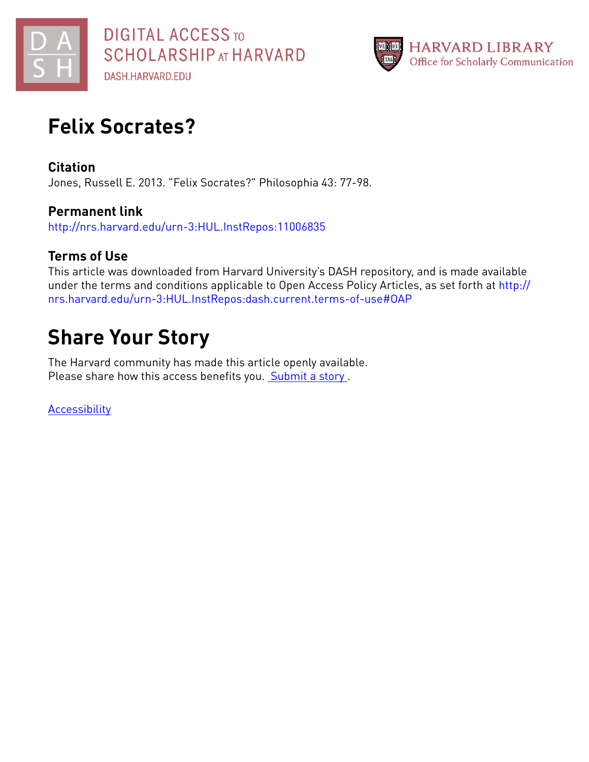



## **Felix Socrates?**

## **Citation**

Jones, Russell E. 2013. "Felix Socrates?" Philosophia 43: 77-98.

### **Permanent link**

<http://nrs.harvard.edu/urn-3:HUL.InstRepos:11006835>

## **Terms of Use**

This article was downloaded from Harvard University's DASH repository, and is made available under the terms and conditions applicable to Open Access Policy Articles, as set forth at [http://](http://nrs.harvard.edu/urn-3:HUL.InstRepos:dash.current.terms-of-use#OAP) [nrs.harvard.edu/urn-3:HUL.InstRepos:dash.current.terms-of-use#OAP](http://nrs.harvard.edu/urn-3:HUL.InstRepos:dash.current.terms-of-use#OAP)

# **Share Your Story**

The Harvard community has made this article openly available. Please share how this access benefits you. [Submit](http://osc.hul.harvard.edu/dash/open-access-feedback?handle=&title=Felix%20Socrates?&community=1/1&collection=1/2&owningCollection1/2&harvardAuthors=bf5d354d0e34b8d3dcd023f6836a72fe&departmentPhilosophy) a story.

**[Accessibility](https://dash.harvard.edu/pages/accessibility)**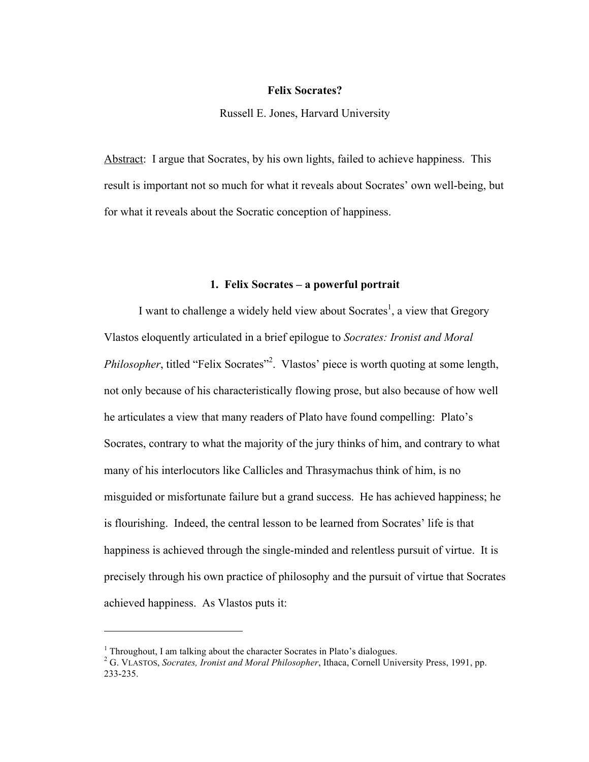#### **Felix Socrates?**

Russell E. Jones, Harvard University

Abstract: I argue that Socrates, by his own lights, failed to achieve happiness. This result is important not so much for what it reveals about Socrates' own well-being, but for what it reveals about the Socratic conception of happiness.

#### **1. Felix Socrates – a powerful portrait**

I want to challenge a widely held view about Socrates<sup>1</sup>, a view that Gregory Vlastos eloquently articulated in a brief epilogue to *Socrates: Ironist and Moral Philosopher*, titled "Felix Socrates"<sup>2</sup>. Vlastos' piece is worth quoting at some length, not only because of his characteristically flowing prose, but also because of how well he articulates a view that many readers of Plato have found compelling: Plato's Socrates, contrary to what the majority of the jury thinks of him, and contrary to what many of his interlocutors like Callicles and Thrasymachus think of him, is no misguided or misfortunate failure but a grand success. He has achieved happiness; he is flourishing. Indeed, the central lesson to be learned from Socrates' life is that happiness is achieved through the single-minded and relentless pursuit of virtue. It is precisely through his own practice of philosophy and the pursuit of virtue that Socrates achieved happiness. As Vlastos puts it:

<sup>&</sup>lt;sup>1</sup> Throughout, I am talking about the character Socrates in Plato's dialogues.<br> $2 \text{ G. VI A STOS}$ , Socrates, Inquirt and Monal Philosopher, Ithose, Corpell Uni

G. VLASTOS, *Socrates, Ironist and Moral Philosopher*, Ithaca, Cornell University Press, 1991, pp. 233-235.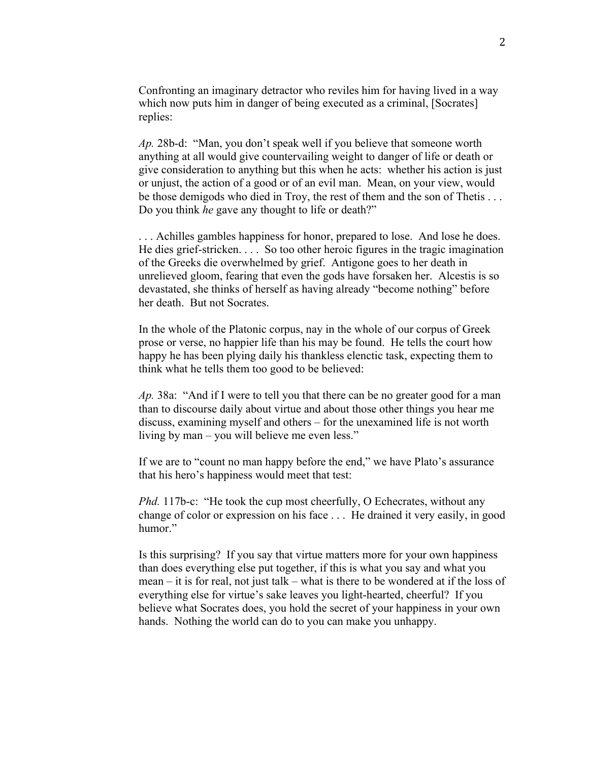Confronting an imaginary detractor who reviles him for having lived in a way which now puts him in danger of being executed as a criminal, [Socrates] replies:

*Ap.* 28b-d: "Man, you don't speak well if you believe that someone worth anything at all would give countervailing weight to danger of life or death or give consideration to anything but this when he acts: whether his action is just or unjust, the action of a good or of an evil man. Mean, on your view, would be those demigods who died in Troy, the rest of them and the son of Thetis . . . Do you think *he* gave any thought to life or death?"

. . . Achilles gambles happiness for honor, prepared to lose. And lose he does. He dies grief-stricken. . . . So too other heroic figures in the tragic imagination of the Greeks die overwhelmed by grief. Antigone goes to her death in unrelieved gloom, fearing that even the gods have forsaken her. Alcestis is so devastated, she thinks of herself as having already "become nothing" before her death. But not Socrates.

In the whole of the Platonic corpus, nay in the whole of our corpus of Greek prose or verse, no happier life than his may be found. He tells the court how happy he has been plying daily his thankless elenctic task, expecting them to think what he tells them too good to be believed:

*Ap.* 38a: "And if I were to tell you that there can be no greater good for a man than to discourse daily about virtue and about those other things you hear me discuss, examining myself and others – for the unexamined life is not worth living by man – you will believe me even less."

If we are to "count no man happy before the end," we have Plato's assurance that his hero's happiness would meet that test:

*Phd.* 117b-c: "He took the cup most cheerfully, O Echecrates, without any change of color or expression on his face . . . He drained it very easily, in good humor."

Is this surprising? If you say that virtue matters more for your own happiness than does everything else put together, if this is what you say and what you mean – it is for real, not just talk – what is there to be wondered at if the loss of everything else for virtue's sake leaves you light-hearted, cheerful? If you believe what Socrates does, you hold the secret of your happiness in your own hands. Nothing the world can do to you can make you unhappy.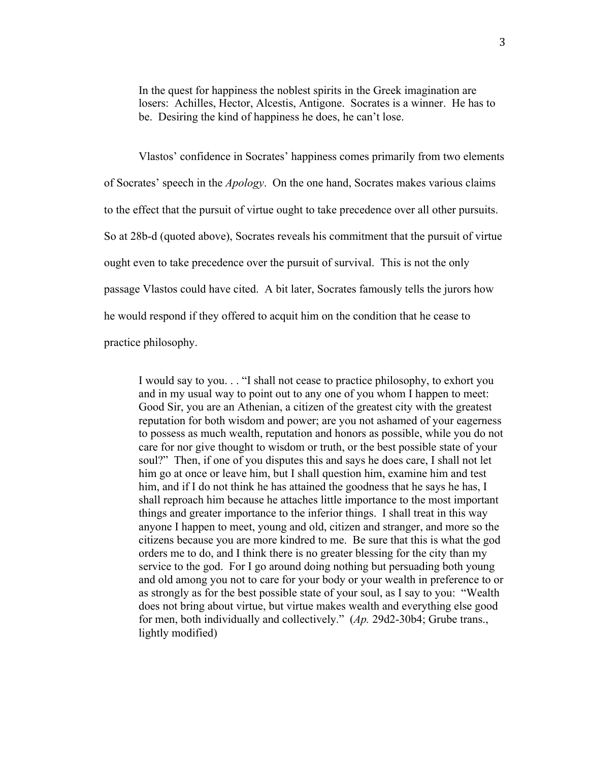In the quest for happiness the noblest spirits in the Greek imagination are losers: Achilles, Hector, Alcestis, Antigone. Socrates is a winner. He has to be. Desiring the kind of happiness he does, he can't lose.

Vlastos' confidence in Socrates' happiness comes primarily from two elements of Socrates' speech in the *Apology*. On the one hand, Socrates makes various claims to the effect that the pursuit of virtue ought to take precedence over all other pursuits. So at 28b-d (quoted above), Socrates reveals his commitment that the pursuit of virtue ought even to take precedence over the pursuit of survival. This is not the only passage Vlastos could have cited. A bit later, Socrates famously tells the jurors how he would respond if they offered to acquit him on the condition that he cease to practice philosophy.

I would say to you. . . "I shall not cease to practice philosophy, to exhort you and in my usual way to point out to any one of you whom I happen to meet: Good Sir, you are an Athenian, a citizen of the greatest city with the greatest reputation for both wisdom and power; are you not ashamed of your eagerness to possess as much wealth, reputation and honors as possible, while you do not care for nor give thought to wisdom or truth, or the best possible state of your soul?" Then, if one of you disputes this and says he does care, I shall not let him go at once or leave him, but I shall question him, examine him and test him, and if I do not think he has attained the goodness that he says he has, I shall reproach him because he attaches little importance to the most important things and greater importance to the inferior things. I shall treat in this way anyone I happen to meet, young and old, citizen and stranger, and more so the citizens because you are more kindred to me. Be sure that this is what the god orders me to do, and I think there is no greater blessing for the city than my service to the god. For I go around doing nothing but persuading both young and old among you not to care for your body or your wealth in preference to or as strongly as for the best possible state of your soul, as I say to you: "Wealth does not bring about virtue, but virtue makes wealth and everything else good for men, both individually and collectively." (*Ap.* 29d2-30b4; Grube trans., lightly modified)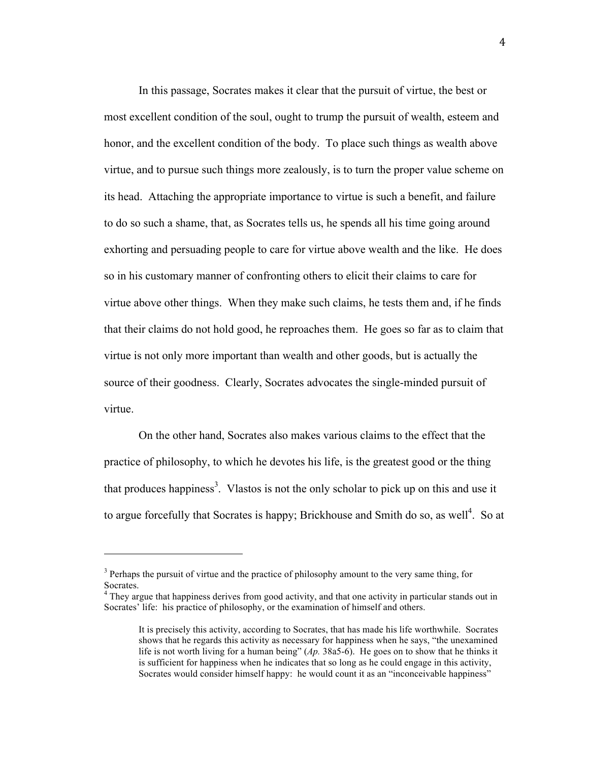In this passage, Socrates makes it clear that the pursuit of virtue, the best or most excellent condition of the soul, ought to trump the pursuit of wealth, esteem and honor, and the excellent condition of the body. To place such things as wealth above virtue, and to pursue such things more zealously, is to turn the proper value scheme on its head. Attaching the appropriate importance to virtue is such a benefit, and failure to do so such a shame, that, as Socrates tells us, he spends all his time going around exhorting and persuading people to care for virtue above wealth and the like. He does so in his customary manner of confronting others to elicit their claims to care for virtue above other things. When they make such claims, he tests them and, if he finds that their claims do not hold good, he reproaches them. He goes so far as to claim that virtue is not only more important than wealth and other goods, but is actually the source of their goodness. Clearly, Socrates advocates the single-minded pursuit of virtue.

On the other hand, Socrates also makes various claims to the effect that the practice of philosophy, to which he devotes his life, is the greatest good or the thing that produces happiness<sup>3</sup>. Vlastos is not the only scholar to pick up on this and use it to argue forcefully that Socrates is happy; Brickhouse and Smith do so, as well<sup>4</sup>. So at

<sup>&</sup>lt;sup>3</sup> Perhaps the pursuit of virtue and the practice of philosophy amount to the very same thing, for Socrates.

<sup>&</sup>lt;sup>4</sup> They argue that happiness derives from good activity, and that one activity in particular stands out in Socrates' life: his practice of philosophy, or the examination of himself and others.

It is precisely this activity, according to Socrates, that has made his life worthwhile. Socrates shows that he regards this activity as necessary for happiness when he says, "the unexamined life is not worth living for a human being" (*Ap.* 38a5-6). He goes on to show that he thinks it is sufficient for happiness when he indicates that so long as he could engage in this activity, Socrates would consider himself happy: he would count it as an "inconceivable happiness"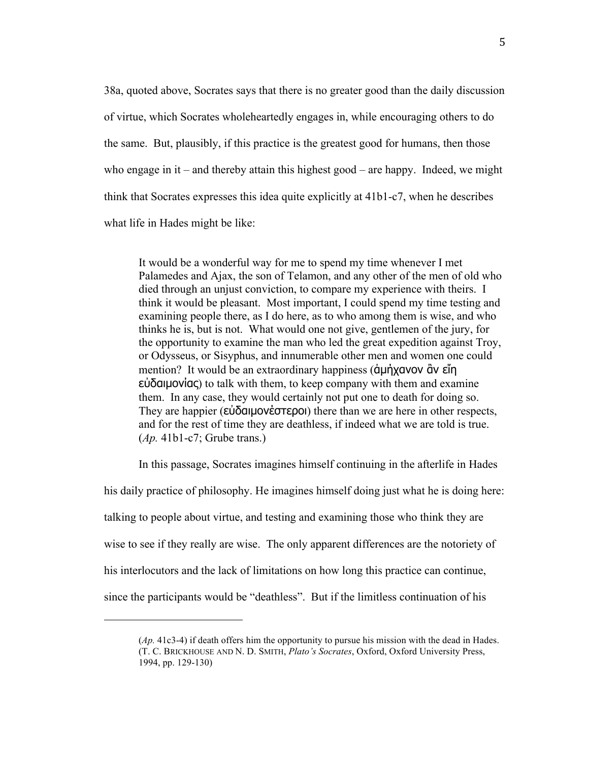38a, quoted above, Socrates says that there is no greater good than the daily discussion of virtue, which Socrates wholeheartedly engages in, while encouraging others to do the same. But, plausibly, if this practice is the greatest good for humans, then those who engage in it – and thereby attain this highest good – are happy. Indeed, we might think that Socrates expresses this idea quite explicitly at 41b1-c7, when he describes what life in Hades might be like:

It would be a wonderful way for me to spend my time whenever I met Palamedes and Ajax, the son of Telamon, and any other of the men of old who died through an unjust conviction, to compare my experience with theirs. I think it would be pleasant. Most important, I could spend my time testing and examining people there, as I do here, as to who among them is wise, and who thinks he is, but is not. What would one not give, gentlemen of the jury, for the opportunity to examine the man who led the great expedition against Troy, or Odysseus, or Sisyphus, and innumerable other men and women one could mention? It would be an extraordinary happiness (άμήχανον ἂν εἶη  $\epsilon \dot{\phi}$ δαιμονίας) to talk with them, to keep company with them and examine them. In any case, they would certainly not put one to death for doing so. They are happier (εὐδαιμονέστεροι) there than we are here in other respects, and for the rest of time they are deathless, if indeed what we are told is true. (*Ap.* 41b1-c7; Grube trans.)

In this passage, Socrates imagines himself continuing in the afterlife in Hades his daily practice of philosophy. He imagines himself doing just what he is doing here: talking to people about virtue, and testing and examining those who think they are wise to see if they really are wise. The only apparent differences are the notoriety of his interlocutors and the lack of limitations on how long this practice can continue,

since the participants would be "deathless". But if the limitless continuation of his

<sup>(</sup>*Ap.* 41c3-4) if death offers him the opportunity to pursue his mission with the dead in Hades. (T. C. BRICKHOUSE AND N. D. SMITH, *Plato's Socrates*, Oxford, Oxford University Press, 1994, pp. 129-130)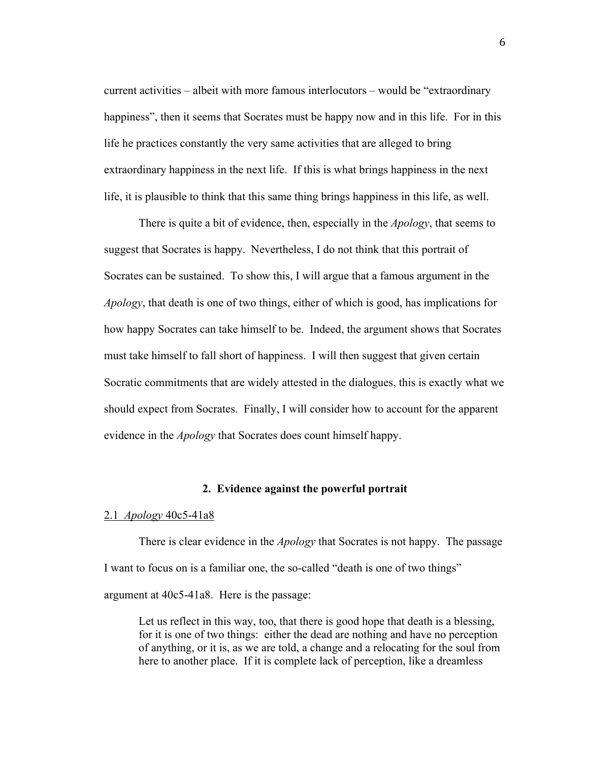current activities – albeit with more famous interlocutors – would be "extraordinary happiness", then it seems that Socrates must be happy now and in this life. For in this life he practices constantly the very same activities that are alleged to bring extraordinary happiness in the next life. If this is what brings happiness in the next life, it is plausible to think that this same thing brings happiness in this life, as well.

There is quite a bit of evidence, then, especially in the *Apology*, that seems to suggest that Socrates is happy. Nevertheless, I do not think that this portrait of Socrates can be sustained. To show this, I will argue that a famous argument in the *Apology*, that death is one of two things, either of which is good, has implications for how happy Socrates can take himself to be. Indeed, the argument shows that Socrates must take himself to fall short of happiness. I will then suggest that given certain Socratic commitments that are widely attested in the dialogues, this is exactly what we should expect from Socrates. Finally, I will consider how to account for the apparent evidence in the *Apology* that Socrates does count himself happy.

#### **2. Evidence against the powerful portrait**

#### 2.1 *Apology* 40c5-41a8

There is clear evidence in the *Apology* that Socrates is not happy. The passage I want to focus on is a familiar one, the so-called "death is one of two things" argument at 40c5-41a8. Here is the passage:

Let us reflect in this way, too, that there is good hope that death is a blessing, for it is one of two things: either the dead are nothing and have no perception of anything, or it is, as we are told, a change and a relocating for the soul from here to another place. If it is complete lack of perception, like a dreamless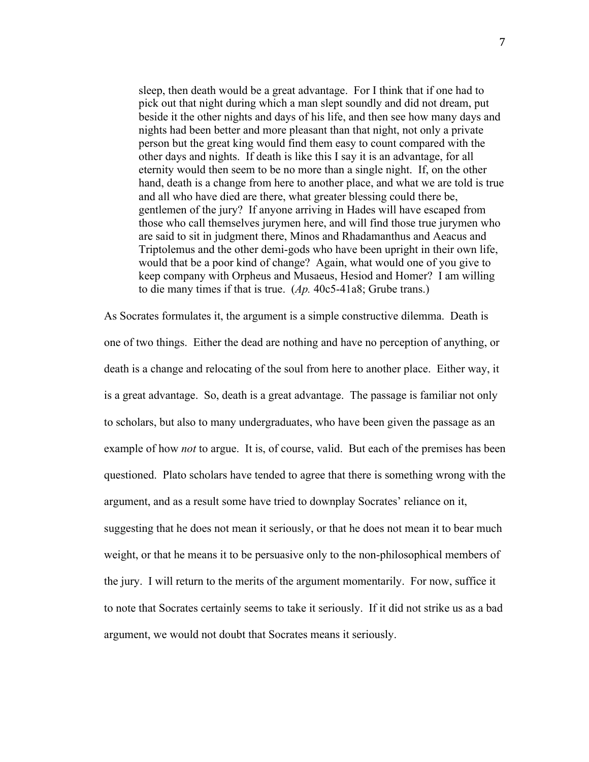sleep, then death would be a great advantage. For I think that if one had to pick out that night during which a man slept soundly and did not dream, put beside it the other nights and days of his life, and then see how many days and nights had been better and more pleasant than that night, not only a private person but the great king would find them easy to count compared with the other days and nights. If death is like this I say it is an advantage, for all eternity would then seem to be no more than a single night. If, on the other hand, death is a change from here to another place, and what we are told is true and all who have died are there, what greater blessing could there be, gentlemen of the jury? If anyone arriving in Hades will have escaped from those who call themselves jurymen here, and will find those true jurymen who are said to sit in judgment there, Minos and Rhadamanthus and Aeacus and Triptolemus and the other demi-gods who have been upright in their own life, would that be a poor kind of change? Again, what would one of you give to keep company with Orpheus and Musaeus, Hesiod and Homer? I am willing to die many times if that is true. (*Ap.* 40c5-41a8; Grube trans.)

As Socrates formulates it, the argument is a simple constructive dilemma. Death is one of two things. Either the dead are nothing and have no perception of anything, or death is a change and relocating of the soul from here to another place. Either way, it is a great advantage. So, death is a great advantage. The passage is familiar not only to scholars, but also to many undergraduates, who have been given the passage as an example of how *not* to argue. It is, of course, valid. But each of the premises has been questioned. Plato scholars have tended to agree that there is something wrong with the argument, and as a result some have tried to downplay Socrates' reliance on it, suggesting that he does not mean it seriously, or that he does not mean it to bear much weight, or that he means it to be persuasive only to the non-philosophical members of the jury. I will return to the merits of the argument momentarily. For now, suffice it to note that Socrates certainly seems to take it seriously. If it did not strike us as a bad argument, we would not doubt that Socrates means it seriously.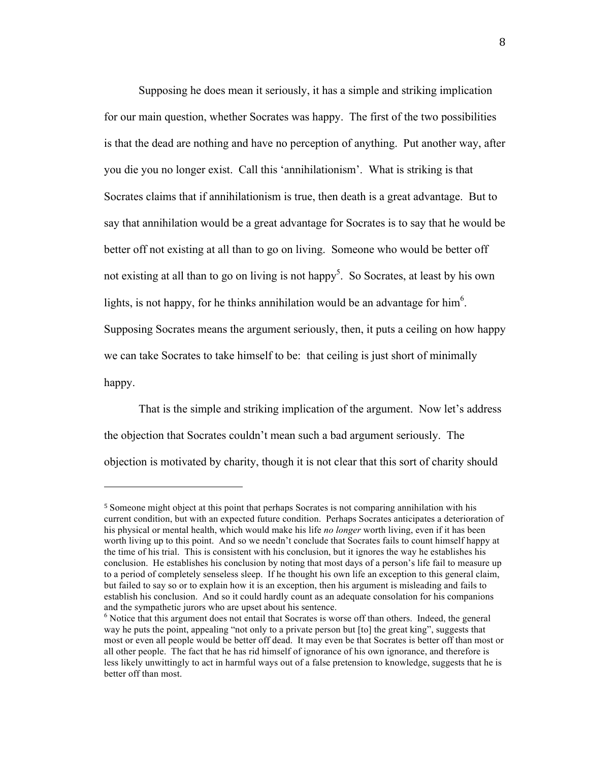Supposing he does mean it seriously, it has a simple and striking implication for our main question, whether Socrates was happy. The first of the two possibilities is that the dead are nothing and have no perception of anything. Put another way, after you die you no longer exist. Call this 'annihilationism'. What is striking is that Socrates claims that if annihilationism is true, then death is a great advantage. But to say that annihilation would be a great advantage for Socrates is to say that he would be better off not existing at all than to go on living. Someone who would be better off not existing at all than to go on living is not happy<sup>5</sup>. So Socrates, at least by his own lights, is not happy, for he thinks annihilation would be an advantage for him<sup>6</sup>. Supposing Socrates means the argument seriously, then, it puts a ceiling on how happy we can take Socrates to take himself to be: that ceiling is just short of minimally happy.

That is the simple and striking implication of the argument. Now let's address the objection that Socrates couldn't mean such a bad argument seriously. The objection is motivated by charity, though it is not clear that this sort of charity should

<sup>5</sup> Someone might object at this point that perhaps Socrates is not comparing annihilation with his current condition, but with an expected future condition. Perhaps Socrates anticipates a deterioration of his physical or mental health, which would make his life *no longer* worth living, even if it has been worth living up to this point. And so we needn't conclude that Socrates fails to count himself happy at the time of his trial. This is consistent with his conclusion, but it ignores the way he establishes his conclusion. He establishes his conclusion by noting that most days of a person's life fail to measure up to a period of completely senseless sleep. If he thought his own life an exception to this general claim, but failed to say so or to explain how it is an exception, then his argument is misleading and fails to establish his conclusion. And so it could hardly count as an adequate consolation for his companions and the sympathetic jurors who are upset about his sentence.

<sup>&</sup>lt;sup>6</sup> Notice that this argument does not entail that Socrates is worse off than others. Indeed, the general way he puts the point, appealing "not only to a private person but [to] the great king", suggests that most or even all people would be better off dead. It may even be that Socrates is better off than most or all other people. The fact that he has rid himself of ignorance of his own ignorance, and therefore is less likely unwittingly to act in harmful ways out of a false pretension to knowledge, suggests that he is better off than most.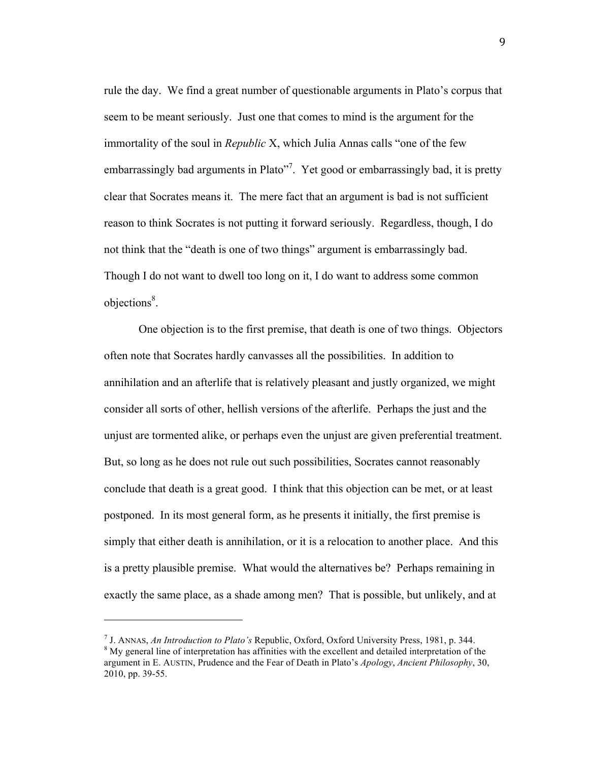rule the day. We find a great number of questionable arguments in Plato's corpus that seem to be meant seriously. Just one that comes to mind is the argument for the immortality of the soul in *Republic* X, which Julia Annas calls "one of the few embarrassingly bad arguments in Plato"<sup>7</sup>. Yet good or embarrassingly bad, it is pretty clear that Socrates means it. The mere fact that an argument is bad is not sufficient reason to think Socrates is not putting it forward seriously. Regardless, though, I do not think that the "death is one of two things" argument is embarrassingly bad. Though I do not want to dwell too long on it, I do want to address some common objections<sup>8</sup>.

One objection is to the first premise, that death is one of two things. Objectors often note that Socrates hardly canvasses all the possibilities. In addition to annihilation and an afterlife that is relatively pleasant and justly organized, we might consider all sorts of other, hellish versions of the afterlife. Perhaps the just and the unjust are tormented alike, or perhaps even the unjust are given preferential treatment. But, so long as he does not rule out such possibilities, Socrates cannot reasonably conclude that death is a great good. I think that this objection can be met, or at least postponed. In its most general form, as he presents it initially, the first premise is simply that either death is annihilation, or it is a relocation to another place. And this is a pretty plausible premise. What would the alternatives be? Perhaps remaining in exactly the same place, as a shade among men? That is possible, but unlikely, and at

<sup>7</sup> J. ANNAS, *An Introduction to Plato's* Republic, Oxford, Oxford University Press, 1981, p. 344. <sup>8</sup> <sup>8</sup> My general line of interpretation has affinities with the excellent and detailed interpretation of the argument in E. AUSTIN, Prudence and the Fear of Death in Plato's *Apology*, *Ancient Philosophy*, 30, 2010, pp. 39-55.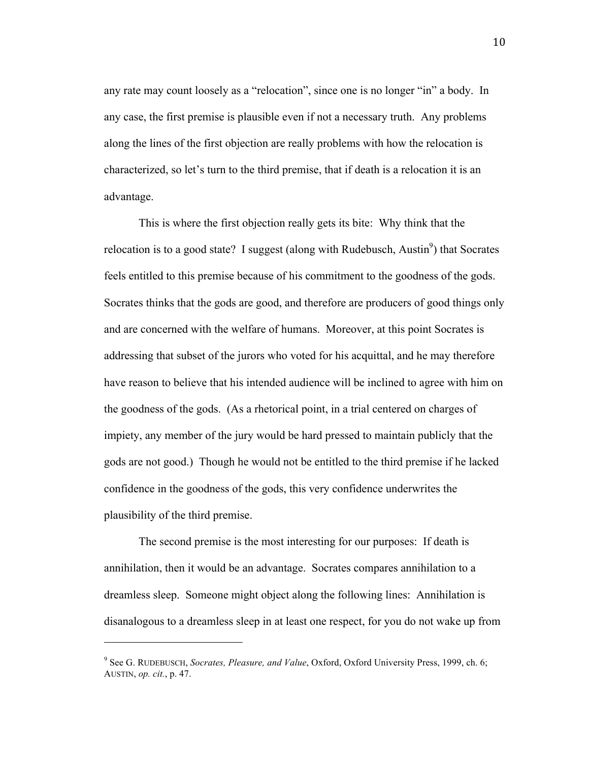any rate may count loosely as a "relocation", since one is no longer "in" a body. In any case, the first premise is plausible even if not a necessary truth. Any problems along the lines of the first objection are really problems with how the relocation is characterized, so let's turn to the third premise, that if death is a relocation it is an advantage.

This is where the first objection really gets its bite: Why think that the relocation is to a good state? I suggest (along with Rudebusch, Austin<sup>9</sup>) that Socrates feels entitled to this premise because of his commitment to the goodness of the gods. Socrates thinks that the gods are good, and therefore are producers of good things only and are concerned with the welfare of humans. Moreover, at this point Socrates is addressing that subset of the jurors who voted for his acquittal, and he may therefore have reason to believe that his intended audience will be inclined to agree with him on the goodness of the gods. (As a rhetorical point, in a trial centered on charges of impiety, any member of the jury would be hard pressed to maintain publicly that the gods are not good.) Though he would not be entitled to the third premise if he lacked confidence in the goodness of the gods, this very confidence underwrites the plausibility of the third premise.

The second premise is the most interesting for our purposes: If death is annihilation, then it would be an advantage. Socrates compares annihilation to a dreamless sleep. Someone might object along the following lines: Annihilation is disanalogous to a dreamless sleep in at least one respect, for you do not wake up from

<sup>9</sup> See G. RUDEBUSCH, *Socrates, Pleasure, and Value*, Oxford, Oxford University Press, 1999, ch. 6; AUSTIN, *op. cit.*, p. 47.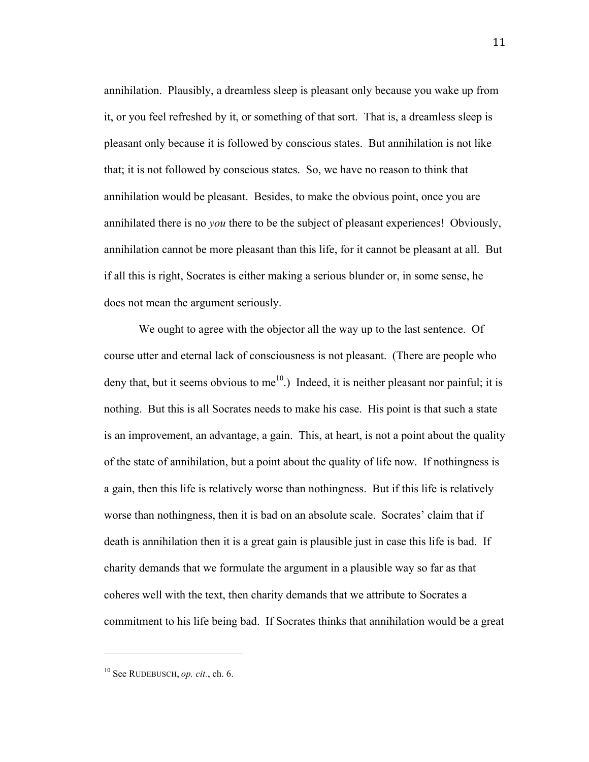annihilation. Plausibly, a dreamless sleep is pleasant only because you wake up from it, or you feel refreshed by it, or something of that sort. That is, a dreamless sleep is pleasant only because it is followed by conscious states. But annihilation is not like that; it is not followed by conscious states. So, we have no reason to think that annihilation would be pleasant. Besides, to make the obvious point, once you are annihilated there is no *you* there to be the subject of pleasant experiences! Obviously, annihilation cannot be more pleasant than this life, for it cannot be pleasant at all. But if all this is right, Socrates is either making a serious blunder or, in some sense, he does not mean the argument seriously.

We ought to agree with the objector all the way up to the last sentence. Of course utter and eternal lack of consciousness is not pleasant. (There are people who deny that, but it seems obvious to me<sup>10</sup>.) Indeed, it is neither pleasant nor painful; it is nothing. But this is all Socrates needs to make his case. His point is that such a state is an improvement, an advantage, a gain. This, at heart, is not a point about the quality of the state of annihilation, but a point about the quality of life now. If nothingness is a gain, then this life is relatively worse than nothingness. But if this life is relatively worse than nothingness, then it is bad on an absolute scale. Socrates' claim that if death is annihilation then it is a great gain is plausible just in case this life is bad. If charity demands that we formulate the argument in a plausible way so far as that coheres well with the text, then charity demands that we attribute to Socrates a commitment to his life being bad. If Socrates thinks that annihilation would be a great

 

<sup>10</sup> See RUDEBUSCH, *op. cit.*, ch. 6.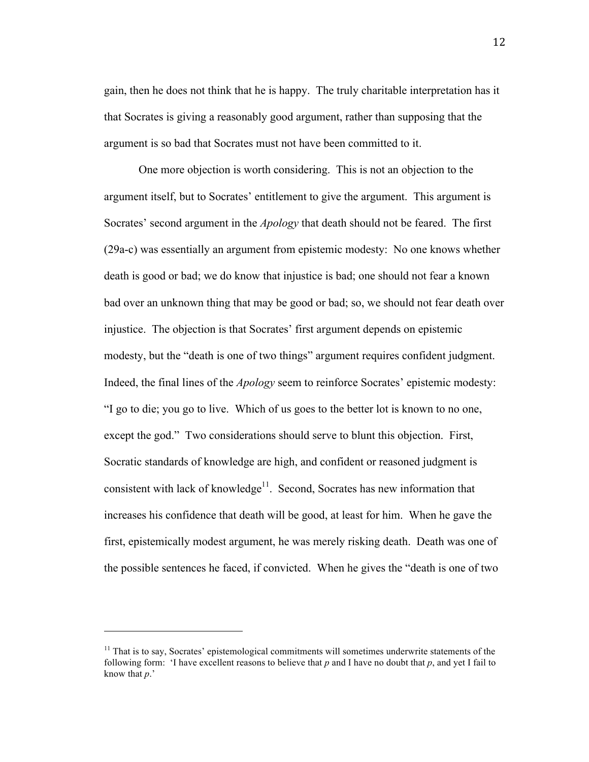gain, then he does not think that he is happy. The truly charitable interpretation has it that Socrates is giving a reasonably good argument, rather than supposing that the argument is so bad that Socrates must not have been committed to it.

One more objection is worth considering. This is not an objection to the argument itself, but to Socrates' entitlement to give the argument. This argument is Socrates' second argument in the *Apology* that death should not be feared. The first (29a-c) was essentially an argument from epistemic modesty: No one knows whether death is good or bad; we do know that injustice is bad; one should not fear a known bad over an unknown thing that may be good or bad; so, we should not fear death over injustice. The objection is that Socrates' first argument depends on epistemic modesty, but the "death is one of two things" argument requires confident judgment. Indeed, the final lines of the *Apology* seem to reinforce Socrates' epistemic modesty: "I go to die; you go to live. Which of us goes to the better lot is known to no one, except the god." Two considerations should serve to blunt this objection. First, Socratic standards of knowledge are high, and confident or reasoned judgment is consistent with lack of knowledge $11$ . Second, Socrates has new information that increases his confidence that death will be good, at least for him. When he gave the first, epistemically modest argument, he was merely risking death. Death was one of the possible sentences he faced, if convicted. When he gives the "death is one of two

 $11$  That is to say, Socrates' epistemological commitments will sometimes underwrite statements of the following form: 'I have excellent reasons to believe that  $p$  and I have no doubt that  $p$ , and yet I fail to know that *p*.'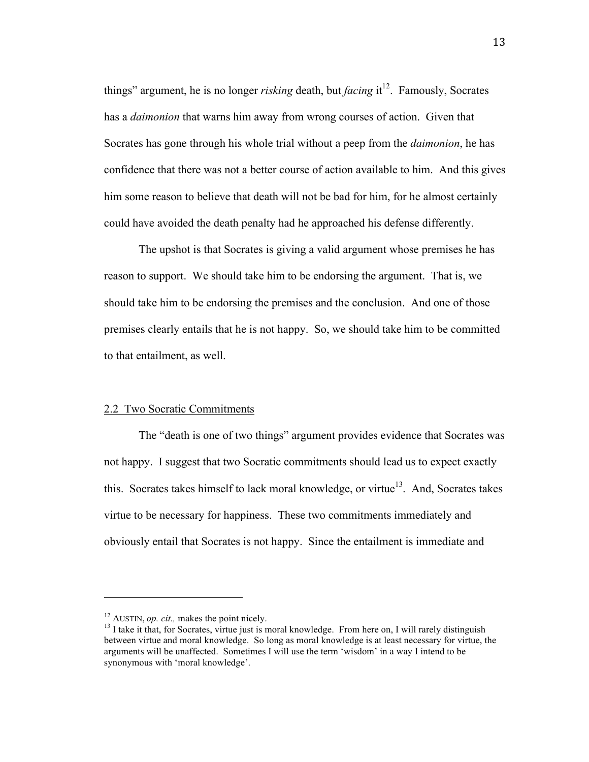things" argument, he is no longer *risking* death, but *facing* it<sup>12</sup>. Famously, Socrates has a *daimonion* that warns him away from wrong courses of action. Given that Socrates has gone through his whole trial without a peep from the *daimonion*, he has confidence that there was not a better course of action available to him. And this gives him some reason to believe that death will not be bad for him, for he almost certainly could have avoided the death penalty had he approached his defense differently.

The upshot is that Socrates is giving a valid argument whose premises he has reason to support. We should take him to be endorsing the argument. That is, we should take him to be endorsing the premises and the conclusion. And one of those premises clearly entails that he is not happy. So, we should take him to be committed to that entailment, as well.

#### 2.2 Two Socratic Commitments

The "death is one of two things" argument provides evidence that Socrates was not happy. I suggest that two Socratic commitments should lead us to expect exactly this. Socrates takes himself to lack moral knowledge, or virtue<sup>13</sup>. And, Socrates takes virtue to be necessary for happiness. These two commitments immediately and obviously entail that Socrates is not happy. Since the entailment is immediate and

<sup>&</sup>lt;sup>12</sup> AUSTIN, *op. cit.*, makes the point nicely.<br><sup>13</sup> I take it that, for Socrates, virtue just is moral knowledge. From here on, I will rarely distinguish between virtue and moral knowledge. So long as moral knowledge is at least necessary for virtue, the arguments will be unaffected. Sometimes I will use the term 'wisdom' in a way I intend to be synonymous with 'moral knowledge'.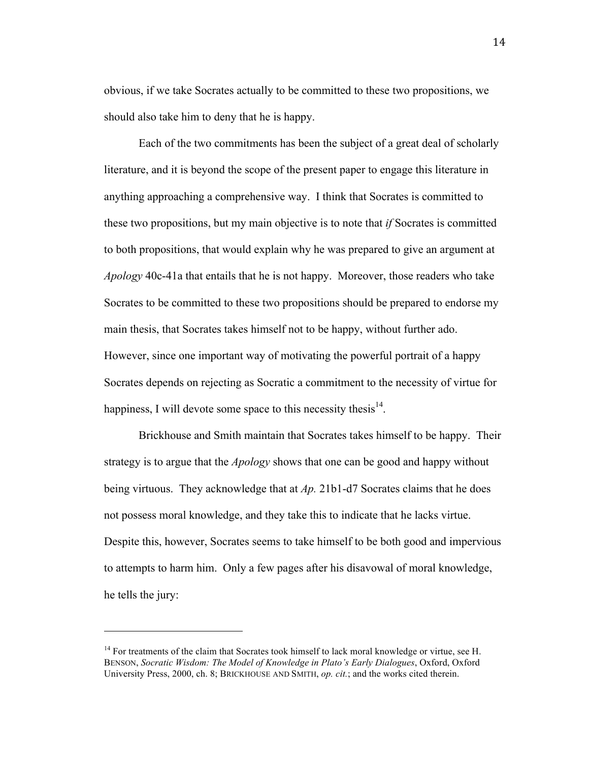obvious, if we take Socrates actually to be committed to these two propositions, we should also take him to deny that he is happy.

Each of the two commitments has been the subject of a great deal of scholarly literature, and it is beyond the scope of the present paper to engage this literature in anything approaching a comprehensive way. I think that Socrates is committed to these two propositions, but my main objective is to note that *if* Socrates is committed to both propositions, that would explain why he was prepared to give an argument at *Apology* 40c-41a that entails that he is not happy. Moreover, those readers who take Socrates to be committed to these two propositions should be prepared to endorse my main thesis, that Socrates takes himself not to be happy, without further ado. However, since one important way of motivating the powerful portrait of a happy Socrates depends on rejecting as Socratic a commitment to the necessity of virtue for happiness. I will devote some space to this necessity thesis<sup>14</sup>.

Brickhouse and Smith maintain that Socrates takes himself to be happy. Their strategy is to argue that the *Apology* shows that one can be good and happy without being virtuous. They acknowledge that at *Ap.* 21b1-d7 Socrates claims that he does not possess moral knowledge, and they take this to indicate that he lacks virtue. Despite this, however, Socrates seems to take himself to be both good and impervious to attempts to harm him. Only a few pages after his disavowal of moral knowledge, he tells the jury:

 $14$  For treatments of the claim that Socrates took himself to lack moral knowledge or virtue, see H. BENSON, *Socratic Wisdom: The Model of Knowledge in Plato's Early Dialogues*, Oxford, Oxford University Press, 2000, ch. 8; BRICKHOUSE AND SMITH, *op. cit.*; and the works cited therein.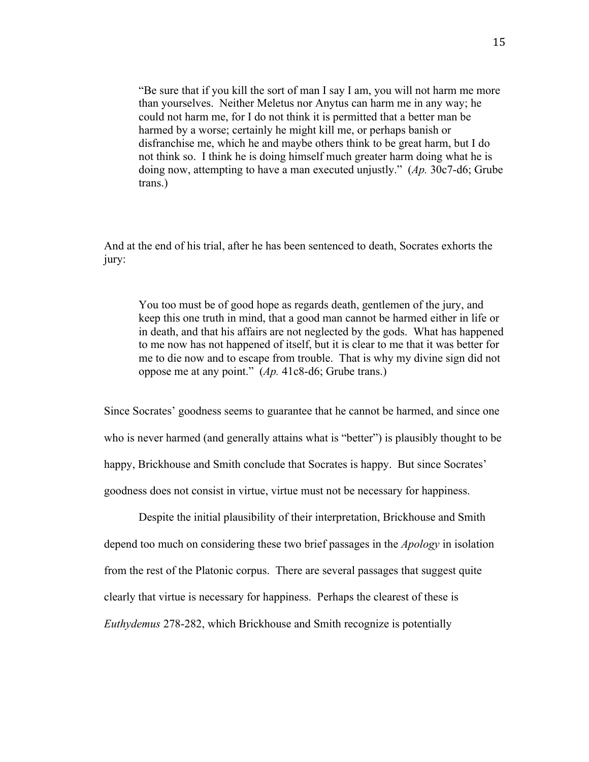"Be sure that if you kill the sort of man I say I am, you will not harm me more than yourselves. Neither Meletus nor Anytus can harm me in any way; he could not harm me, for I do not think it is permitted that a better man be harmed by a worse; certainly he might kill me, or perhaps banish or disfranchise me, which he and maybe others think to be great harm, but I do not think so. I think he is doing himself much greater harm doing what he is doing now, attempting to have a man executed unjustly." (*Ap.* 30c7-d6; Grube trans.)

And at the end of his trial, after he has been sentenced to death, Socrates exhorts the jury:

You too must be of good hope as regards death, gentlemen of the jury, and keep this one truth in mind, that a good man cannot be harmed either in life or in death, and that his affairs are not neglected by the gods. What has happened to me now has not happened of itself, but it is clear to me that it was better for me to die now and to escape from trouble. That is why my divine sign did not oppose me at any point." (*Ap.* 41c8-d6; Grube trans.)

Since Socrates' goodness seems to guarantee that he cannot be harmed, and since one who is never harmed (and generally attains what is "better") is plausibly thought to be happy, Brickhouse and Smith conclude that Socrates is happy. But since Socrates' goodness does not consist in virtue, virtue must not be necessary for happiness.

Despite the initial plausibility of their interpretation, Brickhouse and Smith depend too much on considering these two brief passages in the *Apology* in isolation from the rest of the Platonic corpus. There are several passages that suggest quite clearly that virtue is necessary for happiness. Perhaps the clearest of these is *Euthydemus* 278-282, which Brickhouse and Smith recognize is potentially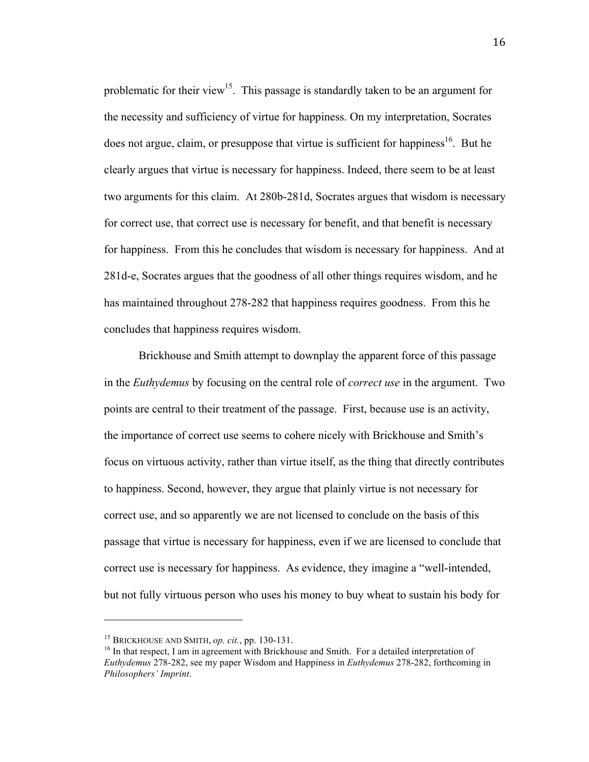problematic for their view<sup>15</sup>. This passage is standardly taken to be an argument for the necessity and sufficiency of virtue for happiness. On my interpretation, Socrates does not argue, claim, or presuppose that virtue is sufficient for happiness<sup>16</sup>. But he clearly argues that virtue is necessary for happiness. Indeed, there seem to be at least two arguments for this claim. At 280b-281d, Socrates argues that wisdom is necessary for correct use, that correct use is necessary for benefit, and that benefit is necessary for happiness. From this he concludes that wisdom is necessary for happiness. And at 281d-e, Socrates argues that the goodness of all other things requires wisdom, and he has maintained throughout 278-282 that happiness requires goodness. From this he concludes that happiness requires wisdom.

Brickhouse and Smith attempt to downplay the apparent force of this passage in the *Euthydemus* by focusing on the central role of *correct use* in the argument. Two points are central to their treatment of the passage. First, because use is an activity, the importance of correct use seems to cohere nicely with Brickhouse and Smith's focus on virtuous activity, rather than virtue itself, as the thing that directly contributes to happiness. Second, however, they argue that plainly virtue is not necessary for correct use, and so apparently we are not licensed to conclude on the basis of this passage that virtue is necessary for happiness, even if we are licensed to conclude that correct use is necessary for happiness. As evidence, they imagine a "well-intended, but not fully virtuous person who uses his money to buy wheat to sustain his body for

<sup>&</sup>lt;sup>15</sup> BRICKHOUSE AND SMITH, *op. cit.*, pp. 130-131.<br><sup>16</sup> In that respect, I am in agreement with Brickhouse and Smith. For a detailed interpretation of *Euthydemus* 278-282, see my paper Wisdom and Happiness in *Euthydemus* 278-282, forthcoming in *Philosophers' Imprint*.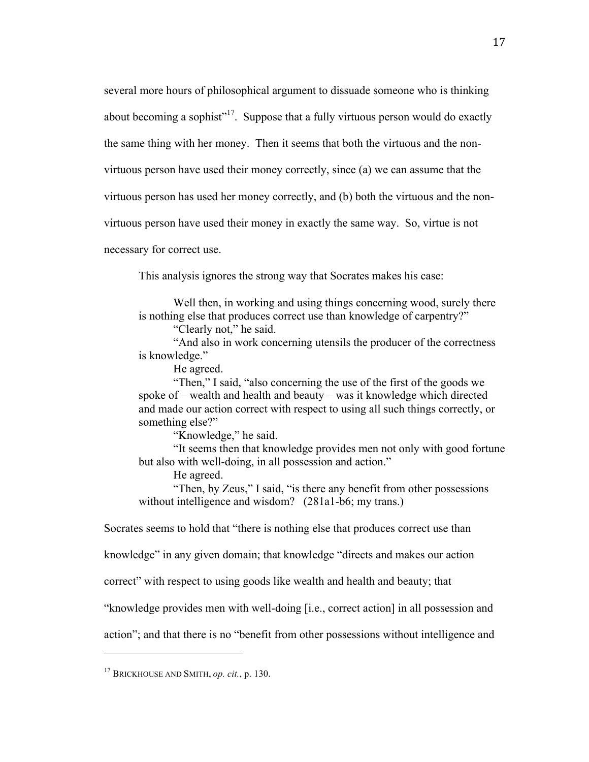several more hours of philosophical argument to dissuade someone who is thinking

about becoming a sophist"<sup>17</sup>. Suppose that a fully virtuous person would do exactly

the same thing with her money. Then it seems that both the virtuous and the non-

virtuous person have used their money correctly, since (a) we can assume that the

virtuous person has used her money correctly, and (b) both the virtuous and the non-

virtuous person have used their money in exactly the same way. So, virtue is not

necessary for correct use.

This analysis ignores the strong way that Socrates makes his case:

Well then, in working and using things concerning wood, surely there is nothing else that produces correct use than knowledge of carpentry?"

"Clearly not," he said.

"And also in work concerning utensils the producer of the correctness is knowledge."

He agreed.

"Then," I said, "also concerning the use of the first of the goods we spoke of – wealth and health and beauty – was it knowledge which directed and made our action correct with respect to using all such things correctly, or something else?"

"Knowledge," he said.

"It seems then that knowledge provides men not only with good fortune but also with well-doing, in all possession and action."

He agreed.

"Then, by Zeus," I said, "is there any benefit from other possessions without intelligence and wisdom? (281a1-b6; my trans.)

Socrates seems to hold that "there is nothing else that produces correct use than

knowledge" in any given domain; that knowledge "directs and makes our action

correct" with respect to using goods like wealth and health and beauty; that

"knowledge provides men with well-doing [i.e., correct action] in all possession and

action"; and that there is no "benefit from other possessions without intelligence and

<sup>17</sup> BRICKHOUSE AND SMITH, *op. cit.*, p. 130.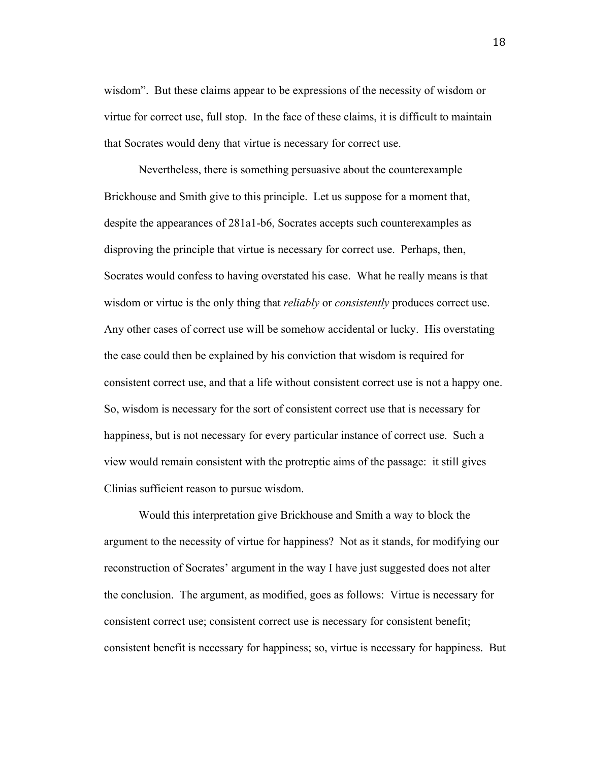wisdom". But these claims appear to be expressions of the necessity of wisdom or virtue for correct use, full stop. In the face of these claims, it is difficult to maintain that Socrates would deny that virtue is necessary for correct use.

Nevertheless, there is something persuasive about the counterexample Brickhouse and Smith give to this principle. Let us suppose for a moment that, despite the appearances of 281a1-b6, Socrates accepts such counterexamples as disproving the principle that virtue is necessary for correct use. Perhaps, then, Socrates would confess to having overstated his case. What he really means is that wisdom or virtue is the only thing that *reliably* or *consistently* produces correct use. Any other cases of correct use will be somehow accidental or lucky. His overstating the case could then be explained by his conviction that wisdom is required for consistent correct use, and that a life without consistent correct use is not a happy one. So, wisdom is necessary for the sort of consistent correct use that is necessary for happiness, but is not necessary for every particular instance of correct use. Such a view would remain consistent with the protreptic aims of the passage: it still gives Clinias sufficient reason to pursue wisdom.

Would this interpretation give Brickhouse and Smith a way to block the argument to the necessity of virtue for happiness? Not as it stands, for modifying our reconstruction of Socrates' argument in the way I have just suggested does not alter the conclusion. The argument, as modified, goes as follows: Virtue is necessary for consistent correct use; consistent correct use is necessary for consistent benefit; consistent benefit is necessary for happiness; so, virtue is necessary for happiness. But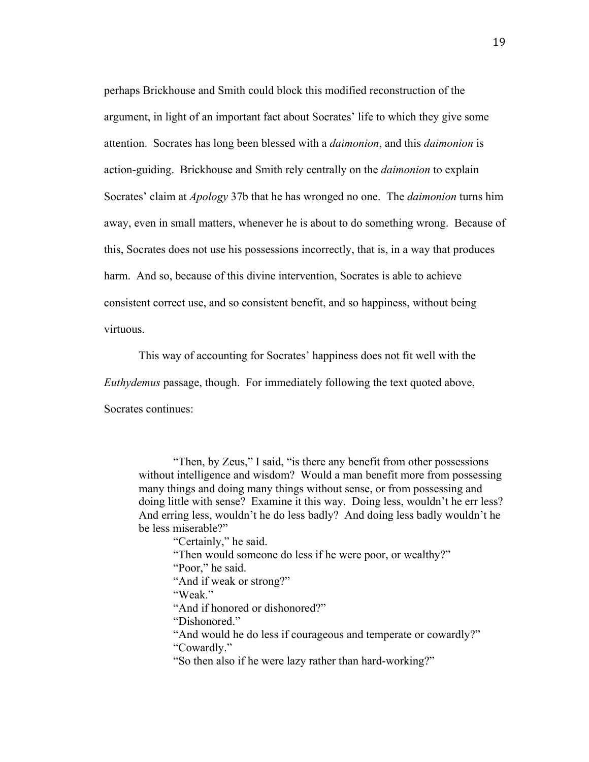perhaps Brickhouse and Smith could block this modified reconstruction of the argument, in light of an important fact about Socrates' life to which they give some attention. Socrates has long been blessed with a *daimonion*, and this *daimonion* is action-guiding. Brickhouse and Smith rely centrally on the *daimonion* to explain Socrates' claim at *Apology* 37b that he has wronged no one. The *daimonion* turns him away, even in small matters, whenever he is about to do something wrong. Because of this, Socrates does not use his possessions incorrectly, that is, in a way that produces harm. And so, because of this divine intervention, Socrates is able to achieve consistent correct use, and so consistent benefit, and so happiness, without being virtuous.

This way of accounting for Socrates' happiness does not fit well with the *Euthydemus* passage, though. For immediately following the text quoted above, Socrates continues:

"Then, by Zeus," I said, "is there any benefit from other possessions without intelligence and wisdom? Would a man benefit more from possessing many things and doing many things without sense, or from possessing and doing little with sense? Examine it this way. Doing less, wouldn't he err less? And erring less, wouldn't he do less badly? And doing less badly wouldn't he be less miserable?"

"Certainly," he said.

"Then would someone do less if he were poor, or wealthy?"

"Poor," he said.

"And if weak or strong?"

"Weak."

"And if honored or dishonored?"

"Dishonored."

"And would he do less if courageous and temperate or cowardly?"

"Cowardly."

"So then also if he were lazy rather than hard-working?"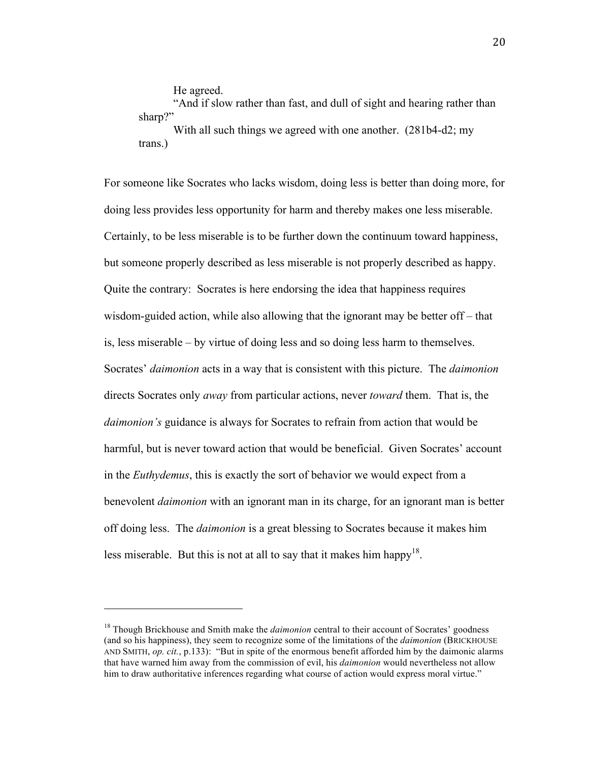He agreed.

 

"And if slow rather than fast, and dull of sight and hearing rather than sharp?"

With all such things we agreed with one another. (281b4-d2; my trans.)

For someone like Socrates who lacks wisdom, doing less is better than doing more, for doing less provides less opportunity for harm and thereby makes one less miserable. Certainly, to be less miserable is to be further down the continuum toward happiness, but someone properly described as less miserable is not properly described as happy. Quite the contrary: Socrates is here endorsing the idea that happiness requires wisdom-guided action, while also allowing that the ignorant may be better off – that is, less miserable – by virtue of doing less and so doing less harm to themselves. Socrates' *daimonion* acts in a way that is consistent with this picture. The *daimonion*  directs Socrates only *away* from particular actions, never *toward* them. That is, the *daimonion's* guidance is always for Socrates to refrain from action that would be harmful, but is never toward action that would be beneficial. Given Socrates' account in the *Euthydemus*, this is exactly the sort of behavior we would expect from a benevolent *daimonion* with an ignorant man in its charge, for an ignorant man is better off doing less. The *daimonion* is a great blessing to Socrates because it makes him less miserable. But this is not at all to say that it makes him happy<sup>18</sup>.

<sup>&</sup>lt;sup>18</sup> Though Brickhouse and Smith make the *daimonion* central to their account of Socrates' goodness (and so his happiness), they seem to recognize some of the limitations of the *daimonion* (BRICKHOUSE AND SMITH, *op. cit.*, p.133): "But in spite of the enormous benefit afforded him by the daimonic alarms that have warned him away from the commission of evil, his *daimonion* would nevertheless not allow him to draw authoritative inferences regarding what course of action would express moral virtue."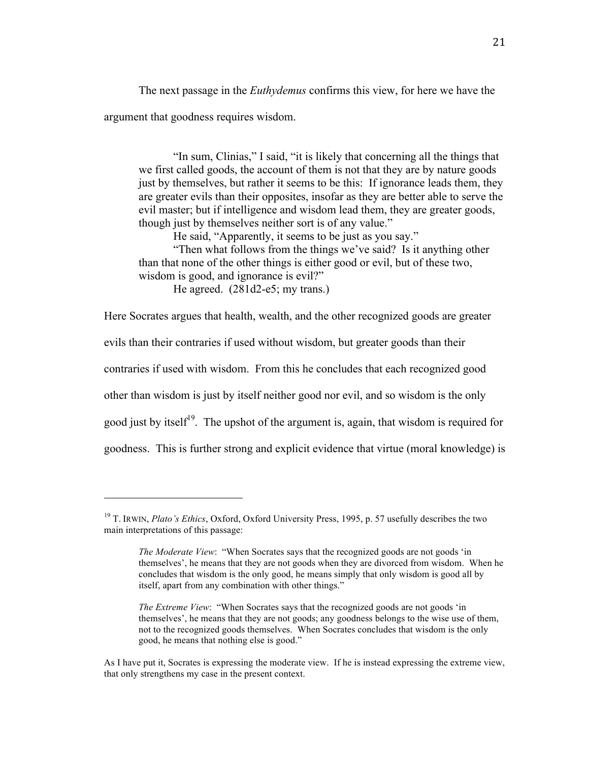The next passage in the *Euthydemus* confirms this view, for here we have the argument that goodness requires wisdom.

"In sum, Clinias," I said, "it is likely that concerning all the things that we first called goods, the account of them is not that they are by nature goods just by themselves, but rather it seems to be this: If ignorance leads them, they are greater evils than their opposites, insofar as they are better able to serve the evil master; but if intelligence and wisdom lead them, they are greater goods, though just by themselves neither sort is of any value."

He said, "Apparently, it seems to be just as you say."

"Then what follows from the things we've said? Is it anything other than that none of the other things is either good or evil, but of these two, wisdom is good, and ignorance is evil?"

He agreed. (281d2-e5; my trans.)

 

Here Socrates argues that health, wealth, and the other recognized goods are greater

evils than their contraries if used without wisdom, but greater goods than their

contraries if used with wisdom. From this he concludes that each recognized good

other than wisdom is just by itself neither good nor evil, and so wisdom is the only

good just by itself<sup>19</sup>. The upshot of the argument is, again, that wisdom is required for

goodness. This is further strong and explicit evidence that virtue (moral knowledge) is

<sup>&</sup>lt;sup>19</sup> T. IRWIN, *Plato's Ethics*, Oxford, Oxford University Press, 1995, p. 57 usefully describes the two main interpretations of this passage:

*The Moderate View*: "When Socrates says that the recognized goods are not goods 'in themselves', he means that they are not goods when they are divorced from wisdom. When he concludes that wisdom is the only good, he means simply that only wisdom is good all by itself, apart from any combination with other things."

*The Extreme View*: "When Socrates says that the recognized goods are not goods 'in themselves', he means that they are not goods; any goodness belongs to the wise use of them, not to the recognized goods themselves. When Socrates concludes that wisdom is the only good, he means that nothing else is good."

As I have put it, Socrates is expressing the moderate view. If he is instead expressing the extreme view, that only strengthens my case in the present context.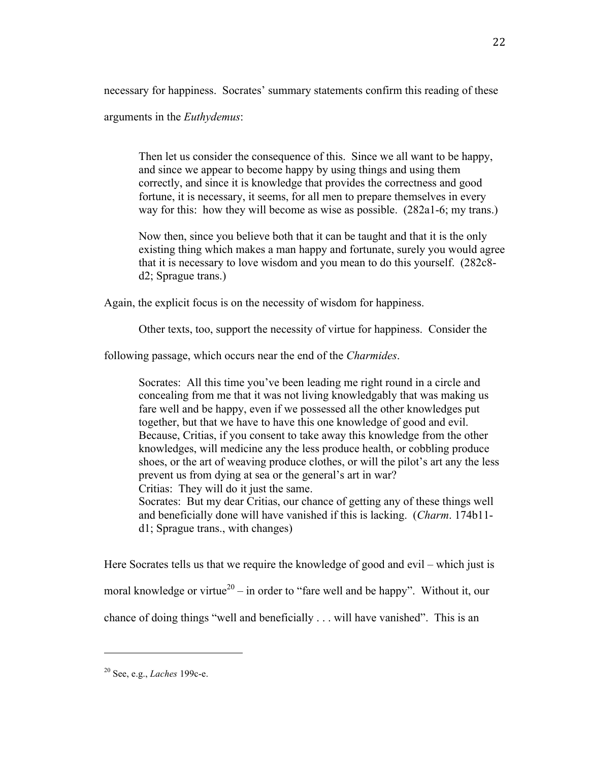necessary for happiness. Socrates' summary statements confirm this reading of these

arguments in the *Euthydemus*:

Then let us consider the consequence of this. Since we all want to be happy, and since we appear to become happy by using things and using them correctly, and since it is knowledge that provides the correctness and good fortune, it is necessary, it seems, for all men to prepare themselves in every way for this: how they will become as wise as possible. (282a1-6; my trans.)

Now then, since you believe both that it can be taught and that it is the only existing thing which makes a man happy and fortunate, surely you would agree that it is necessary to love wisdom and you mean to do this yourself. (282c8 d2; Sprague trans.)

Again, the explicit focus is on the necessity of wisdom for happiness.

Other texts, too, support the necessity of virtue for happiness. Consider the

following passage, which occurs near the end of the *Charmides*.

Socrates: All this time you've been leading me right round in a circle and concealing from me that it was not living knowledgably that was making us fare well and be happy, even if we possessed all the other knowledges put together, but that we have to have this one knowledge of good and evil. Because, Critias, if you consent to take away this knowledge from the other knowledges, will medicine any the less produce health, or cobbling produce shoes, or the art of weaving produce clothes, or will the pilot's art any the less prevent us from dying at sea or the general's art in war? Critias: They will do it just the same. Socrates: But my dear Critias, our chance of getting any of these things well

and beneficially done will have vanished if this is lacking. (*Charm*. 174b11 d1; Sprague trans., with changes)

Here Socrates tells us that we require the knowledge of good and evil – which just is moral knowledge or virtue<sup>20</sup> – in order to "fare well and be happy". Without it, our chance of doing things "well and beneficially . . . will have vanished". This is an

<sup>20</sup> See, e.g., *Laches* 199c-e.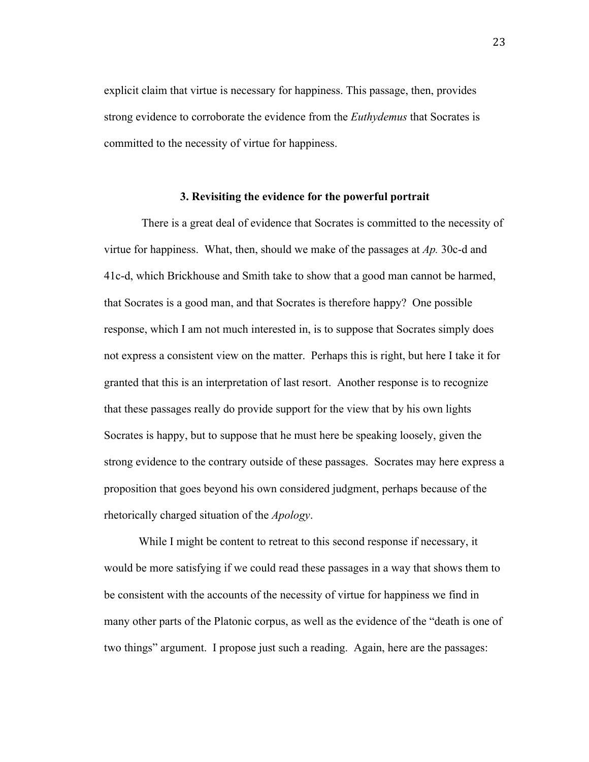explicit claim that virtue is necessary for happiness. This passage, then, provides strong evidence to corroborate the evidence from the *Euthydemus* that Socrates is committed to the necessity of virtue for happiness.

#### **3. Revisiting the evidence for the powerful portrait**

 There is a great deal of evidence that Socrates is committed to the necessity of virtue for happiness. What, then, should we make of the passages at *Ap.* 30c-d and 41c-d, which Brickhouse and Smith take to show that a good man cannot be harmed, that Socrates is a good man, and that Socrates is therefore happy? One possible response, which I am not much interested in, is to suppose that Socrates simply does not express a consistent view on the matter. Perhaps this is right, but here I take it for granted that this is an interpretation of last resort. Another response is to recognize that these passages really do provide support for the view that by his own lights Socrates is happy, but to suppose that he must here be speaking loosely, given the strong evidence to the contrary outside of these passages. Socrates may here express a proposition that goes beyond his own considered judgment, perhaps because of the rhetorically charged situation of the *Apology*.

While I might be content to retreat to this second response if necessary, it would be more satisfying if we could read these passages in a way that shows them to be consistent with the accounts of the necessity of virtue for happiness we find in many other parts of the Platonic corpus, as well as the evidence of the "death is one of two things" argument. I propose just such a reading. Again, here are the passages: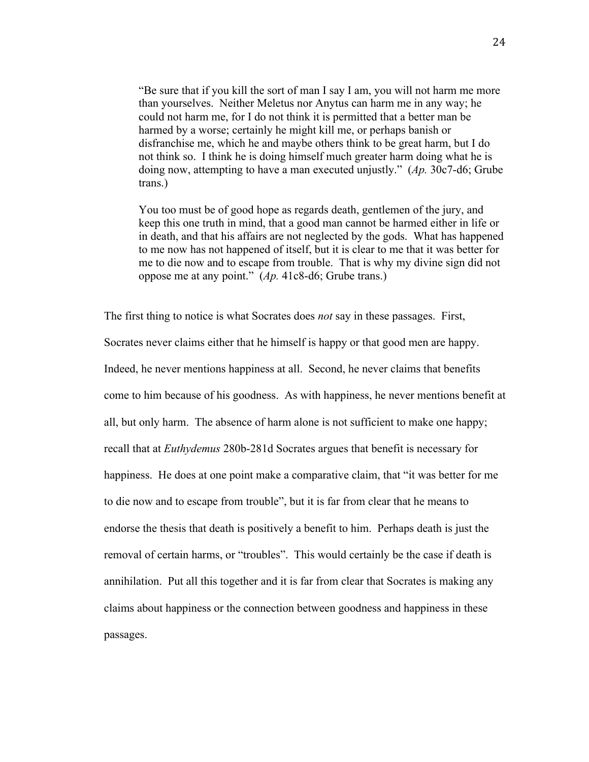"Be sure that if you kill the sort of man I say I am, you will not harm me more than yourselves. Neither Meletus nor Anytus can harm me in any way; he could not harm me, for I do not think it is permitted that a better man be harmed by a worse; certainly he might kill me, or perhaps banish or disfranchise me, which he and maybe others think to be great harm, but I do not think so. I think he is doing himself much greater harm doing what he is doing now, attempting to have a man executed unjustly." (*Ap.* 30c7-d6; Grube trans.)

You too must be of good hope as regards death, gentlemen of the jury, and keep this one truth in mind, that a good man cannot be harmed either in life or in death, and that his affairs are not neglected by the gods. What has happened to me now has not happened of itself, but it is clear to me that it was better for me to die now and to escape from trouble. That is why my divine sign did not oppose me at any point." (*Ap.* 41c8-d6; Grube trans.)

The first thing to notice is what Socrates does *not* say in these passages. First,

Socrates never claims either that he himself is happy or that good men are happy. Indeed, he never mentions happiness at all. Second, he never claims that benefits come to him because of his goodness. As with happiness, he never mentions benefit at all, but only harm. The absence of harm alone is not sufficient to make one happy; recall that at *Euthydemus* 280b-281d Socrates argues that benefit is necessary for happiness. He does at one point make a comparative claim, that "it was better for me to die now and to escape from trouble", but it is far from clear that he means to endorse the thesis that death is positively a benefit to him. Perhaps death is just the removal of certain harms, or "troubles". This would certainly be the case if death is annihilation. Put all this together and it is far from clear that Socrates is making any claims about happiness or the connection between goodness and happiness in these passages.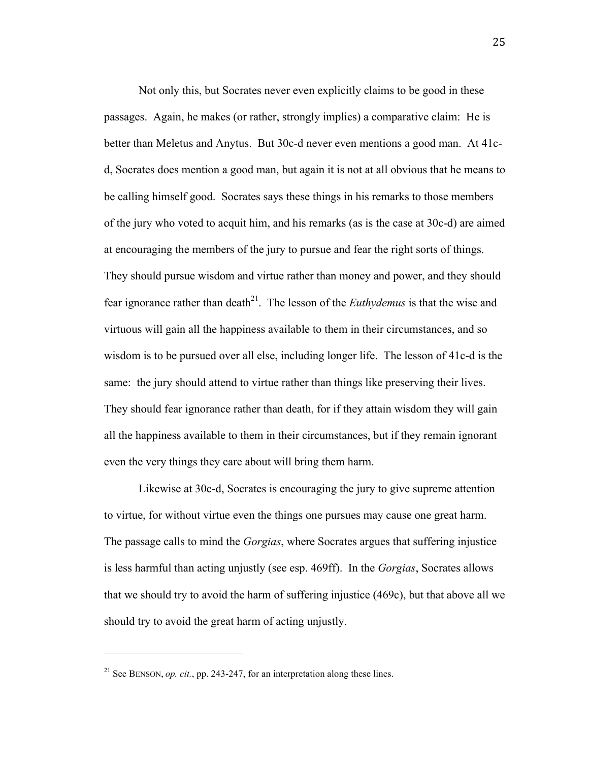Not only this, but Socrates never even explicitly claims to be good in these passages. Again, he makes (or rather, strongly implies) a comparative claim: He is better than Meletus and Anytus. But 30c-d never even mentions a good man. At 41cd, Socrates does mention a good man, but again it is not at all obvious that he means to be calling himself good. Socrates says these things in his remarks to those members of the jury who voted to acquit him, and his remarks (as is the case at 30c-d) are aimed at encouraging the members of the jury to pursue and fear the right sorts of things. They should pursue wisdom and virtue rather than money and power, and they should fear ignorance rather than death<sup>21</sup>. The lesson of the *Euthydemus* is that the wise and virtuous will gain all the happiness available to them in their circumstances, and so wisdom is to be pursued over all else, including longer life. The lesson of 41c-d is the same: the jury should attend to virtue rather than things like preserving their lives. They should fear ignorance rather than death, for if they attain wisdom they will gain all the happiness available to them in their circumstances, but if they remain ignorant even the very things they care about will bring them harm.

Likewise at 30c-d, Socrates is encouraging the jury to give supreme attention to virtue, for without virtue even the things one pursues may cause one great harm. The passage calls to mind the *Gorgias*, where Socrates argues that suffering injustice is less harmful than acting unjustly (see esp. 469ff). In the *Gorgias*, Socrates allows that we should try to avoid the harm of suffering injustice (469c), but that above all we should try to avoid the great harm of acting unjustly.

<sup>&</sup>lt;sup>21</sup> See BENSON, *op. cit.*, pp. 243-247, for an interpretation along these lines.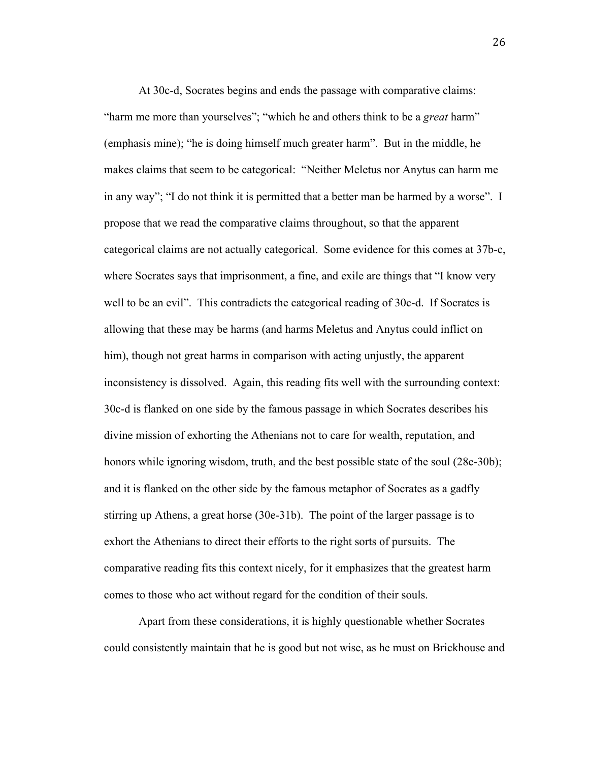At 30c-d, Socrates begins and ends the passage with comparative claims: "harm me more than yourselves"; "which he and others think to be a *great* harm" (emphasis mine); "he is doing himself much greater harm". But in the middle, he makes claims that seem to be categorical: "Neither Meletus nor Anytus can harm me in any way"; "I do not think it is permitted that a better man be harmed by a worse". I propose that we read the comparative claims throughout, so that the apparent categorical claims are not actually categorical. Some evidence for this comes at 37b-c, where Socrates says that imprisonment, a fine, and exile are things that "I know very well to be an evil". This contradicts the categorical reading of 30c-d. If Socrates is allowing that these may be harms (and harms Meletus and Anytus could inflict on him), though not great harms in comparison with acting unjustly, the apparent inconsistency is dissolved. Again, this reading fits well with the surrounding context: 30c-d is flanked on one side by the famous passage in which Socrates describes his divine mission of exhorting the Athenians not to care for wealth, reputation, and honors while ignoring wisdom, truth, and the best possible state of the soul (28e-30b); and it is flanked on the other side by the famous metaphor of Socrates as a gadfly stirring up Athens, a great horse (30e-31b). The point of the larger passage is to exhort the Athenians to direct their efforts to the right sorts of pursuits. The comparative reading fits this context nicely, for it emphasizes that the greatest harm comes to those who act without regard for the condition of their souls.

Apart from these considerations, it is highly questionable whether Socrates could consistently maintain that he is good but not wise, as he must on Brickhouse and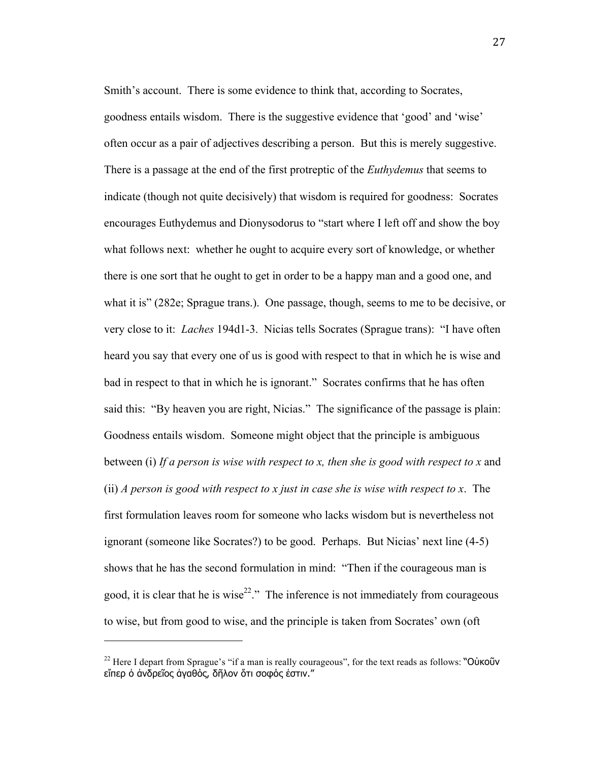Smith's account. There is some evidence to think that, according to Socrates, goodness entails wisdom. There is the suggestive evidence that 'good' and 'wise' often occur as a pair of adjectives describing a person. But this is merely suggestive. There is a passage at the end of the first protreptic of the *Euthydemus* that seems to indicate (though not quite decisively) that wisdom is required for goodness: Socrates encourages Euthydemus and Dionysodorus to "start where I left off and show the boy what follows next: whether he ought to acquire every sort of knowledge, or whether there is one sort that he ought to get in order to be a happy man and a good one, and what it is" (282e; Sprague trans.). One passage, though, seems to me to be decisive, or very close to it: *Laches* 194d1-3. Nicias tells Socrates (Sprague trans): "I have often heard you say that every one of us is good with respect to that in which he is wise and bad in respect to that in which he is ignorant." Socrates confirms that he has often said this: "By heaven you are right, Nicias." The significance of the passage is plain: Goodness entails wisdom. Someone might object that the principle is ambiguous between (i) *If a person is wise with respect to x, then she is good with respect to x* and (ii) *A person is good with respect to x just in case she is wise with respect to x*. The first formulation leaves room for someone who lacks wisdom but is nevertheless not ignorant (someone like Socrates?) to be good. Perhaps. But Nicias' next line (4-5) shows that he has the second formulation in mind: "Then if the courageous man is good, it is clear that he is wise<sup>22</sup>." The inference is not immediately from courageous to wise, but from good to wise, and the principle is taken from Socrates' own (oft

<sup>&</sup>lt;sup>22</sup> Here I depart from Sprague's "if a man is really courageous", for the text reads as follows: "Οὐκοῦν εἴπερ ὁ ἀνδρεῖος ἀγαθός, δῆλον ὅτι σοφός ἐστιν."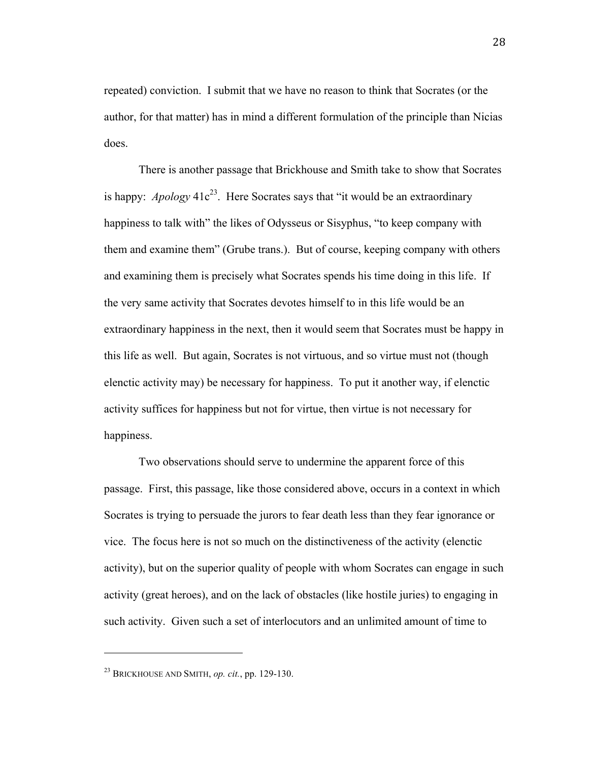repeated) conviction. I submit that we have no reason to think that Socrates (or the author, for that matter) has in mind a different formulation of the principle than Nicias does.

There is another passage that Brickhouse and Smith take to show that Socrates is happy: *Apology*  $41c^{23}$ . Here Socrates says that "it would be an extraordinary happiness to talk with" the likes of Odysseus or Sisyphus, "to keep company with them and examine them" (Grube trans.). But of course, keeping company with others and examining them is precisely what Socrates spends his time doing in this life. If the very same activity that Socrates devotes himself to in this life would be an extraordinary happiness in the next, then it would seem that Socrates must be happy in this life as well. But again, Socrates is not virtuous, and so virtue must not (though elenctic activity may) be necessary for happiness. To put it another way, if elenctic activity suffices for happiness but not for virtue, then virtue is not necessary for happiness.

Two observations should serve to undermine the apparent force of this passage. First, this passage, like those considered above, occurs in a context in which Socrates is trying to persuade the jurors to fear death less than they fear ignorance or vice. The focus here is not so much on the distinctiveness of the activity (elenctic activity), but on the superior quality of people with whom Socrates can engage in such activity (great heroes), and on the lack of obstacles (like hostile juries) to engaging in such activity. Given such a set of interlocutors and an unlimited amount of time to

 

<sup>23</sup> BRICKHOUSE AND SMITH, *op. cit.*, pp. 129-130.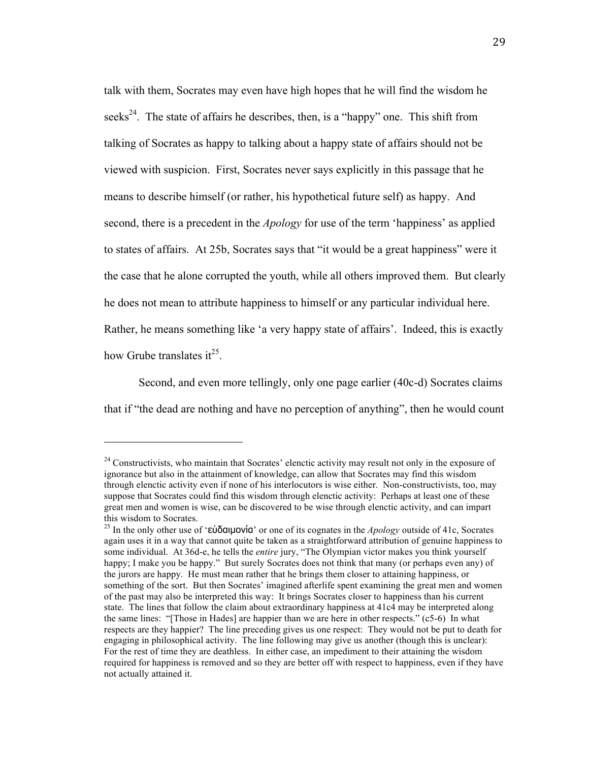talk with them, Socrates may even have high hopes that he will find the wisdom he seeks<sup>24</sup>. The state of affairs he describes, then, is a "happy" one. This shift from talking of Socrates as happy to talking about a happy state of affairs should not be viewed with suspicion. First, Socrates never says explicitly in this passage that he means to describe himself (or rather, his hypothetical future self) as happy. And second, there is a precedent in the *Apology* for use of the term 'happiness' as applied to states of affairs. At 25b, Socrates says that "it would be a great happiness" were it the case that he alone corrupted the youth, while all others improved them. But clearly he does not mean to attribute happiness to himself or any particular individual here. Rather, he means something like 'a very happy state of affairs'. Indeed, this is exactly how Grube translates it<sup>25</sup>.

Second, and even more tellingly, only one page earlier (40c-d) Socrates claims that if "the dead are nothing and have no perception of anything", then he would count

<sup>&</sup>lt;sup>24</sup> Constructivists, who maintain that Socrates' elenctic activity may result not only in the exposure of ignorance but also in the attainment of knowledge, can allow that Socrates may find this wisdom through elenctic activity even if none of his interlocutors is wise either. Non-constructivists, too, may suppose that Socrates could find this wisdom through elenctic activity: Perhaps at least one of these great men and women is wise, can be discovered to be wise through elenctic activity, and can impart this wisdom to Socrates.

<sup>25</sup> In the only other use of 'εὐδαιµονία' or one of its cognates in the *Apology* outside of 41c, Socrates again uses it in a way that cannot quite be taken as a straightforward attribution of genuine happiness to some individual. At 36d-e, he tells the *entire* jury, "The Olympian victor makes you think yourself happy; I make you be happy." But surely Socrates does not think that many (or perhaps even any) of the jurors are happy. He must mean rather that he brings them closer to attaining happiness, or something of the sort. But then Socrates' imagined afterlife spent examining the great men and women of the past may also be interpreted this way: It brings Socrates closer to happiness than his current state. The lines that follow the claim about extraordinary happiness at 41c4 may be interpreted along the same lines: "[Those in Hades] are happier than we are here in other respects." (c5-6) In what respects are they happier? The line preceding gives us one respect: They would not be put to death for engaging in philosophical activity. The line following may give us another (though this is unclear): For the rest of time they are deathless. In either case, an impediment to their attaining the wisdom required for happiness is removed and so they are better off with respect to happiness, even if they have not actually attained it.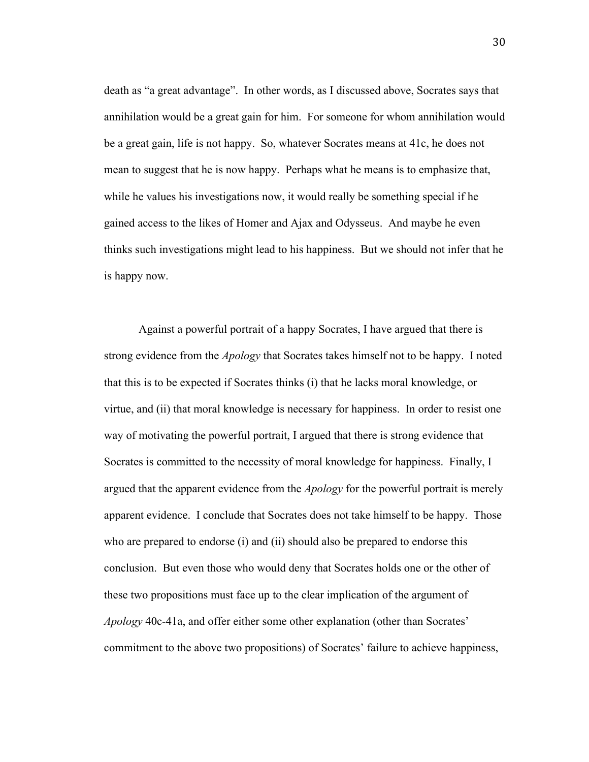death as "a great advantage". In other words, as I discussed above, Socrates says that annihilation would be a great gain for him. For someone for whom annihilation would be a great gain, life is not happy. So, whatever Socrates means at 41c, he does not mean to suggest that he is now happy. Perhaps what he means is to emphasize that, while he values his investigations now, it would really be something special if he gained access to the likes of Homer and Ajax and Odysseus. And maybe he even thinks such investigations might lead to his happiness. But we should not infer that he is happy now.

Against a powerful portrait of a happy Socrates, I have argued that there is strong evidence from the *Apology* that Socrates takes himself not to be happy. I noted that this is to be expected if Socrates thinks (i) that he lacks moral knowledge, or virtue, and (ii) that moral knowledge is necessary for happiness. In order to resist one way of motivating the powerful portrait, I argued that there is strong evidence that Socrates is committed to the necessity of moral knowledge for happiness. Finally, I argued that the apparent evidence from the *Apology* for the powerful portrait is merely apparent evidence. I conclude that Socrates does not take himself to be happy. Those who are prepared to endorse (i) and (ii) should also be prepared to endorse this conclusion. But even those who would deny that Socrates holds one or the other of these two propositions must face up to the clear implication of the argument of *Apology* 40c-41a, and offer either some other explanation (other than Socrates' commitment to the above two propositions) of Socrates' failure to achieve happiness,